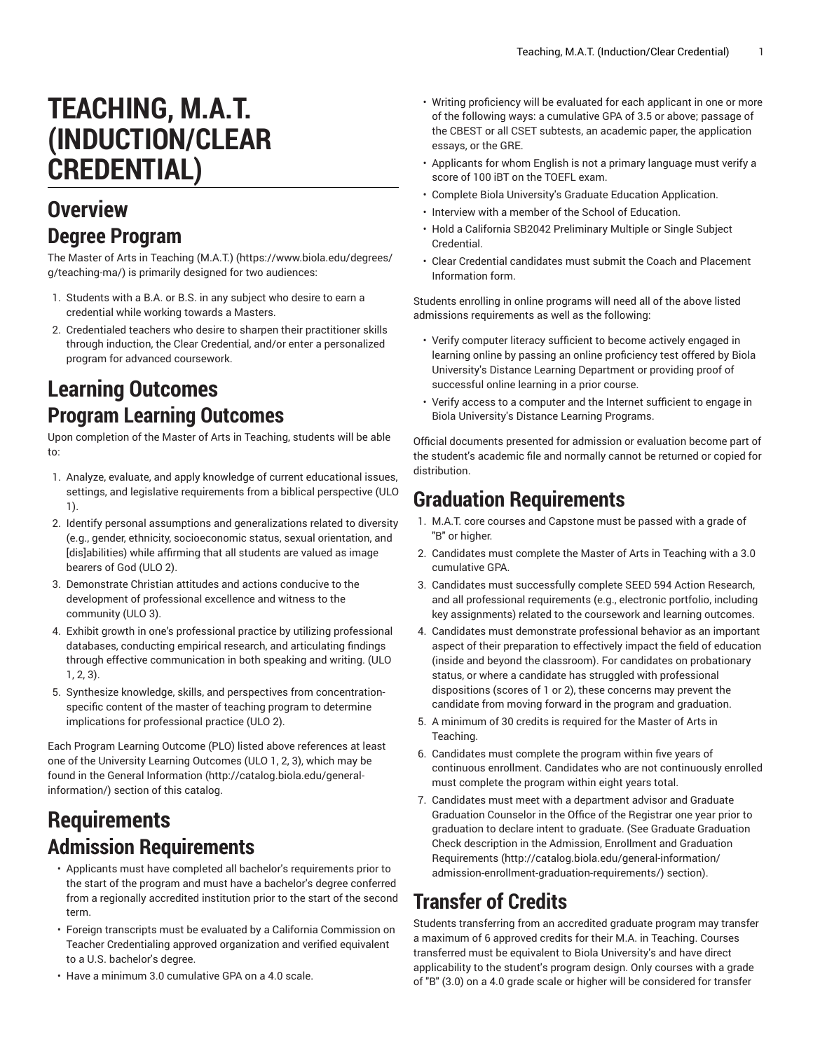# **TEACHING, M.A.T. (INDUCTION/CLEAR CREDENTIAL)**

#### **Overview Degree Program**

The Master of Arts in [Teaching](https://www.biola.edu/degrees/g/teaching-ma/) (M.A.T.) ([https://www.biola.edu/degrees/](https://www.biola.edu/degrees/g/teaching-ma/) [g/teaching-ma/](https://www.biola.edu/degrees/g/teaching-ma/)) is primarily designed for two audiences:

- 1. Students with a B.A. or B.S. in any subject who desire to earn a credential while working towards a Masters.
- 2. Credentialed teachers who desire to sharpen their practitioner skills through induction, the Clear Credential, and/or enter a personalized program for advanced coursework.

## **Learning Outcomes Program Learning Outcomes**

Upon completion of the Master of Arts in Teaching, students will be able to:

- 1. Analyze, evaluate, and apply knowledge of current educational issues, settings, and legislative requirements from a biblical perspective (ULO 1).
- 2. Identify personal assumptions and generalizations related to diversity (e.g., gender, ethnicity, socioeconomic status, sexual orientation, and [dis]abilities) while affirming that all students are valued as image bearers of God (ULO 2).
- 3. Demonstrate Christian attitudes and actions conducive to the development of professional excellence and witness to the community (ULO 3).
- 4. Exhibit growth in one's professional practice by utilizing professional databases, conducting empirical research, and articulating findings through effective communication in both speaking and writing. (ULO 1, 2, 3).
- 5. Synthesize knowledge, skills, and perspectives from concentrationspecific content of the master of teaching program to determine implications for professional practice (ULO 2).

Each Program Learning Outcome (PLO) listed above references at least one of the University Learning Outcomes (ULO 1, 2, 3), which may be found in the [General Information \(http://catalog.biola.edu/general](http://catalog.biola.edu/general-information/)[information/](http://catalog.biola.edu/general-information/)) section of this catalog.

### **Requirements Admission Requirements**

- Applicants must have completed all bachelor's requirements prior to the start of the program and must have a bachelor's degree conferred from a regionally accredited institution prior to the start of the second term.
- Foreign transcripts must be evaluated by a California Commission on Teacher Credentialing approved organization and verified equivalent to a U.S. bachelor's degree.
- Have a minimum 3.0 cumulative GPA on a 4.0 scale.
- Writing proficiency will be evaluated for each applicant in one or more of the following ways: a cumulative GPA of 3.5 or above; passage of the CBEST or all CSET subtests, an academic paper, the application essays, or the GRE.
- Applicants for whom English is not a primary language must verify a score of 100 iBT on the TOEFL exam.
- Complete Biola University's Graduate Education Application.
- Interview with a member of the School of Education.
- Hold a California SB2042 Preliminary Multiple or Single Subject Credential.
- Clear Credential candidates must submit the Coach and Placement Information form.

Students enrolling in online programs will need all of the above listed admissions requirements as well as the following:

- Verify computer literacy sufficient to become actively engaged in learning online by passing an online proficiency test offered by Biola University's Distance Learning Department or providing proof of successful online learning in a prior course.
- Verify access to a computer and the Internet sufficient to engage in Biola University's Distance Learning Programs.

Official documents presented for admission or evaluation become part of the student's academic file and normally cannot be returned or copied for distribution.

### **Graduation Requirements**

- 1. M.A.T. core courses and Capstone must be passed with a grade of "B" or higher.
- 2. Candidates must complete the Master of Arts in Teaching with a 3.0 cumulative GPA.
- 3. Candidates must successfully complete SEED 594 Action Research, and all professional requirements (e.g., electronic portfolio, including key assignments) related to the coursework and learning outcomes.
- 4. Candidates must demonstrate professional behavior as an important aspect of their preparation to effectively impact the field of education (inside and beyond the classroom). For candidates on probationary status, or where a candidate has struggled with professional dispositions (scores of 1 or 2), these concerns may prevent the candidate from moving forward in the program and graduation.
- 5. A minimum of 30 credits is required for the Master of Arts in Teaching.
- 6. Candidates must complete the program within five years of continuous enrollment. Candidates who are not continuously enrolled must complete the program within eight years total.
- 7. Candidates must meet with a department advisor and Graduate Graduation Counselor in the Office of the Registrar one year prior to graduation to declare intent to graduate. (See Graduate Graduation Check description in the Admission, Enrollment and [Graduation](http://catalog.biola.edu/general-information/admission-enrollment-graduation-requirements/) [Requirements \(http://catalog.biola.edu/general-information/](http://catalog.biola.edu/general-information/admission-enrollment-graduation-requirements/) [admission-enrollment-graduation-requirements/\)](http://catalog.biola.edu/general-information/admission-enrollment-graduation-requirements/) section).

# **Transfer of Credits**

Students transferring from an accredited graduate program may transfer a maximum of 6 approved credits for their M.A. in Teaching. Courses transferred must be equivalent to Biola University's and have direct applicability to the student's program design. Only courses with a grade of "B" (3.0) on a 4.0 grade scale or higher will be considered for transfer